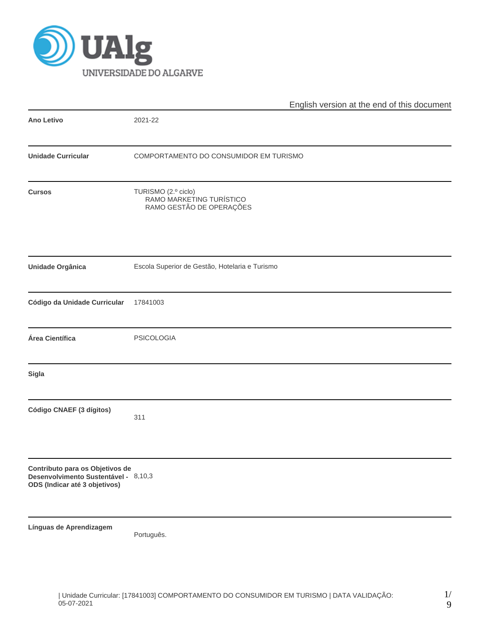

|                                                                                                          | English version at the end of this document                                 |  |  |  |  |  |  |
|----------------------------------------------------------------------------------------------------------|-----------------------------------------------------------------------------|--|--|--|--|--|--|
| <b>Ano Letivo</b>                                                                                        | 2021-22                                                                     |  |  |  |  |  |  |
| <b>Unidade Curricular</b>                                                                                | COMPORTAMENTO DO CONSUMIDOR EM TURISMO                                      |  |  |  |  |  |  |
| <b>Cursos</b>                                                                                            | TURISMO (2.º ciclo)<br>RAMO MARKETING TURÍSTICO<br>RAMO GESTÃO DE OPERAÇÕES |  |  |  |  |  |  |
| Unidade Orgânica                                                                                         | Escola Superior de Gestão, Hotelaria e Turismo                              |  |  |  |  |  |  |
| Código da Unidade Curricular                                                                             | 17841003                                                                    |  |  |  |  |  |  |
| Área Científica                                                                                          | PSICOLOGIA                                                                  |  |  |  |  |  |  |
| <b>Sigla</b>                                                                                             |                                                                             |  |  |  |  |  |  |
| Código CNAEF (3 dígitos)                                                                                 | 311                                                                         |  |  |  |  |  |  |
| Contributo para os Objetivos de<br>Desenvolvimento Sustentável - 8,10,3<br>ODS (Indicar até 3 objetivos) |                                                                             |  |  |  |  |  |  |
| Línguas de Aprendizagem                                                                                  | Português.                                                                  |  |  |  |  |  |  |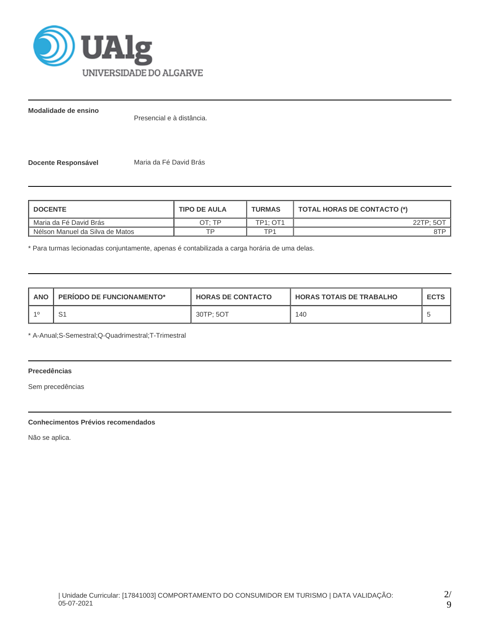

**Modalidade de ensino**

Presencial e à distância.

**Docente Responsável** Maria da Fé David Brás

| <b>I DOCENTE</b>                | <b>TIPO DE AULA</b> | <b>TURMAS</b>   | TOTAL HORAS DE CONTACTO (*) |
|---------------------------------|---------------------|-----------------|-----------------------------|
| Maria da Fé David Brás          | OT: TP              | <b>TP1: OT1</b> | 22TP: 5O <sup>T</sup>       |
| Nélson Manuel da Silva de Matos | TD.                 | TD1             | 8TP                         |

\* Para turmas lecionadas conjuntamente, apenas é contabilizada a carga horária de uma delas.

| <b>ANO</b> | <b>PERIODO DE FUNCIONAMENTO*</b> | <b>HORAS DE CONTACTO</b> | <b>I HORAS TOTAIS DE TRABALHO</b> | <b>ECTS</b> |
|------------|----------------------------------|--------------------------|-----------------------------------|-------------|
|            | . ت                              | 30TP: 5OT                | 140                               |             |

\* A-Anual;S-Semestral;Q-Quadrimestral;T-Trimestral

# **Precedências**

Sem precedências

# **Conhecimentos Prévios recomendados**

Não se aplica.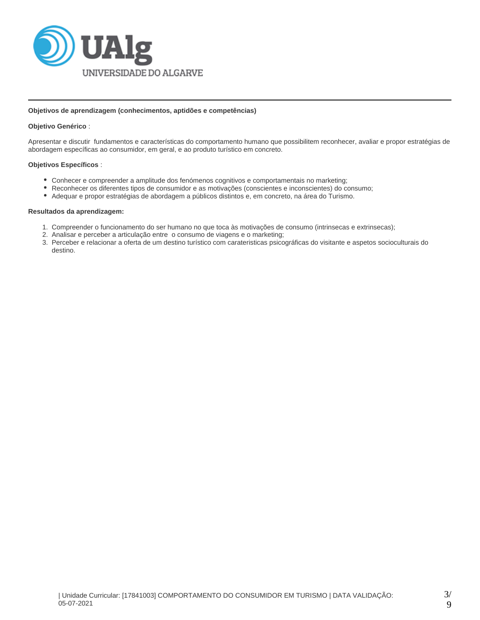

## **Objetivos de aprendizagem (conhecimentos, aptidões e competências)**

## **Objetivo Genérico** :

Apresentar e discutir fundamentos e características do comportamento humano que possibilitem reconhecer, avaliar e propor estratégias de abordagem específicas ao consumidor, em geral, e ao produto turístico em concreto.

## **Objetivos Específicos** :

- Conhecer e compreender a amplitude dos fenómenos cognitivos e comportamentais no marketing;
- Reconhecer os diferentes tipos de consumidor e as motivações (conscientes e inconscientes) do consumo;
- Adequar e propor estratégias de abordagem a públicos distintos e, em concreto, na área do Turismo.

## **Resultados da aprendizagem:**

- 1. Compreender o funcionamento do ser humano no que toca às motivações de consumo (intrinsecas e extrinsecas);
- 2. Analisar e perceber a articulação entre o consumo de viagens e o marketing;
- 3. Perceber e relacionar a oferta de um destino turístico com carateristicas psicográficas do visitante e aspetos socioculturais do destino.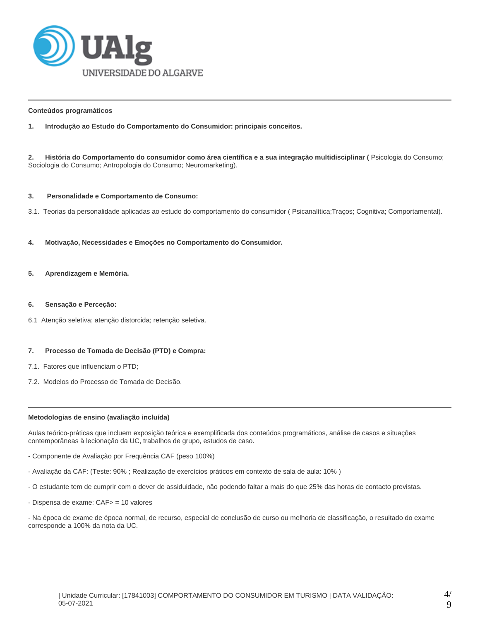

## **Conteúdos programáticos**

**1. Introdução ao Estudo do Comportamento do Consumidor: principais conceitos.**

**2. História do Comportamento do consumidor como área científica e a sua integração multidisciplinar (** Psicologia do Consumo; Sociologia do Consumo; Antropologia do Consumo; Neuromarketing).

## **3. Personalidade e Comportamento de Consumo:**

3.1. Teorias da personalidade aplicadas ao estudo do comportamento do consumidor ( Psicanalítica;Traços; Cognitiva; Comportamental).

- **4. Motivação, Necessidades e Emoções no Comportamento do Consumidor.**
- **5. Aprendizagem e Memória.**
- **6. Sensação e Perceção:**
- 6.1 Atenção seletiva; atenção distorcida; retenção seletiva.

### **7. Processo de Tomada de Decisão (PTD) e Compra:**

- 7.1. Fatores que influenciam o PTD;
- 7.2. Modelos do Processo de Tomada de Decisão.

### **Metodologias de ensino (avaliação incluída)**

Aulas teórico-práticas que incluem exposição teórica e exemplificada dos conteúdos programáticos, análise de casos e situações contemporâneas à lecionação da UC, trabalhos de grupo, estudos de caso.

- Componente de Avaliação por Frequência CAF (peso 100%)
- Avaliação da CAF: (Teste: 90% ; Realização de exercícios práticos em contexto de sala de aula: 10% )
- O estudante tem de cumprir com o dever de assiduidade, não podendo faltar a mais do que 25% das horas de contacto previstas.
- Dispensa de exame: CAF> = 10 valores

- Na época de exame de época normal, de recurso, especial de conclusão de curso ou melhoria de classificação, o resultado do exame corresponde a 100% da nota da UC.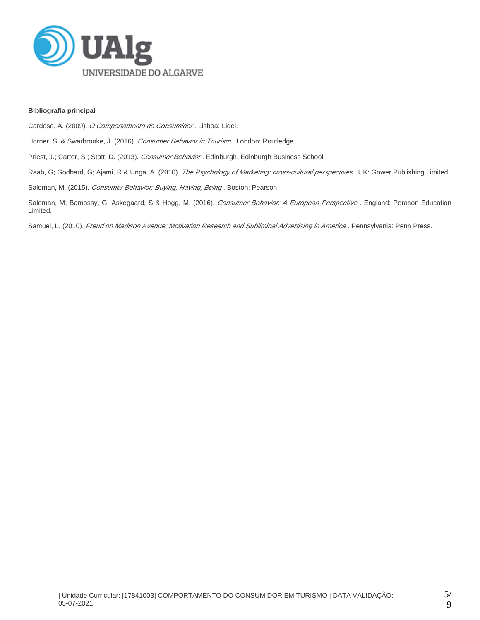

## **Bibliografia principal**

Cardoso, A. (2009). O Comportamento do Consumidor. Lisboa: Lidel.

Horner, S. & Swarbrooke, J. (2016). Consumer Behavior in Tourism. London: Routledge.

Priest, J.; Carter, S.; Statt, D. (2013). Consumer Behavior. Edinburgh. Edinburgh Business School.

Raab, G; Godbard, G; Ajami, R & Unga, A. (2010). The Psychology of Marketing: cross-cultural perspectives. UK: Gower Publishing Limited.

Saloman, M. (2015). Consumer Behavior: Buying, Having, Being. Boston: Pearson.

Saloman, M; Bamossy, G; Askegaard, S & Hogg, M. (2016). Consumer Behavior: A European Perspective . England: Perason Education Limited.

Samuel, L. (2010). Freud on Madison Avenue: Motivation Research and Subliminal Advertising in America. Pennsylvania: Penn Press.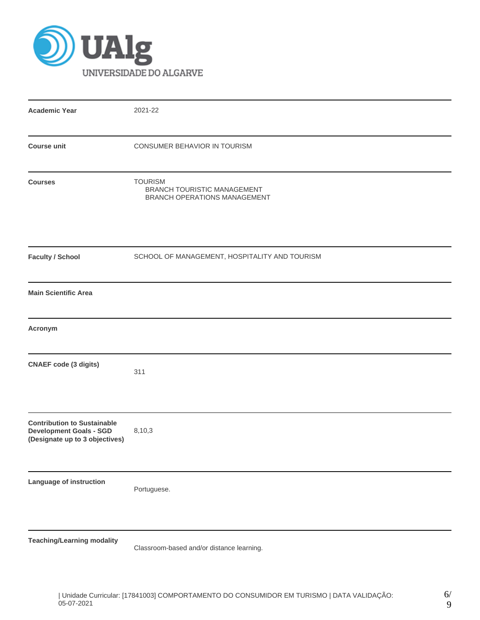

| <b>Academic Year</b>                                                                                   | 2021-22                                                                              |
|--------------------------------------------------------------------------------------------------------|--------------------------------------------------------------------------------------|
| <b>Course unit</b>                                                                                     | CONSUMER BEHAVIOR IN TOURISM                                                         |
| <b>Courses</b>                                                                                         | <b>TOURISM</b><br>BRANCH TOURISTIC MANAGEMENT<br><b>BRANCH OPERATIONS MANAGEMENT</b> |
| <b>Faculty / School</b>                                                                                | SCHOOL OF MANAGEMENT, HOSPITALITY AND TOURISM                                        |
| <b>Main Scientific Area</b>                                                                            |                                                                                      |
| Acronym                                                                                                |                                                                                      |
| <b>CNAEF</b> code (3 digits)                                                                           | 311                                                                                  |
| <b>Contribution to Sustainable</b><br><b>Development Goals - SGD</b><br>(Designate up to 3 objectives) | 8,10,3                                                                               |
| Language of instruction                                                                                | Portuguese.                                                                          |
| <b>Teaching/Learning modality</b>                                                                      | Classroom-based and/or distance learning.                                            |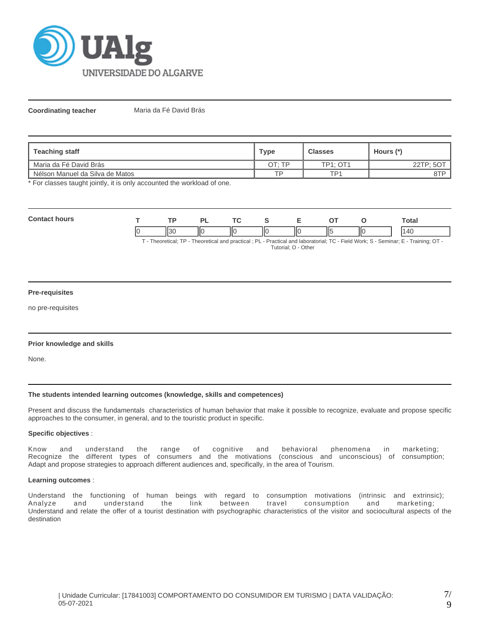

**Coordinating teacher** Maria da Fé David Brás

| Teaching staff                  | Type   | <b>Classes</b>  | Hours (*) |
|---------------------------------|--------|-----------------|-----------|
| I Maria da Fé David Brás        | ገT∙ TP | <b>TP1: OT1</b> | 22TP; 5OT |
| Nélson Manuel da Silva de Matos | TD     | TP1             | 8TP       |

\* For classes taught jointly, it is only accounted the workload of one.

| Con<br>hours |              | ∽. | <b>Transport</b> |   |    |     | otal |
|--------------|--------------|----|------------------|---|----|-----|------|
|              | ن دا ا<br>нэ | Ш  | IІC              | Ш | ШC | IІC | ، ۱۵ |

T - Theoretical; TP - Theoretical and practical ; PL - Practical and laboratorial; TC - Field Work; S - Seminar; E - Training; OT - Tutorial; O - Other

## **Pre-requisites**

no pre-requisites

### **Prior knowledge and skills**

None.

### **The students intended learning outcomes (knowledge, skills and competences)**

Present and discuss the fundamentals characteristics of human behavior that make it possible to recognize, evaluate and propose specific approaches to the consumer, in general, and to the touristic product in specific.

## **Specific objectives** :

Know and understand the range of cognitive and behavioral phenomena in marketing; Recognize the different types of consumers and the motivations (conscious and unconscious) of consumption; Adapt and propose strategies to approach different audiences and, specifically, in the area of Tourism.

### **Learning outcomes** :

Understand the functioning of human beings with regard to consumption motivations (intrinsic and extrinsic); Analyze and understand the link between travel consumption and marketing; Understand and relate the offer of a tourist destination with psychographic characteristics of the visitor and sociocultural aspects of the destination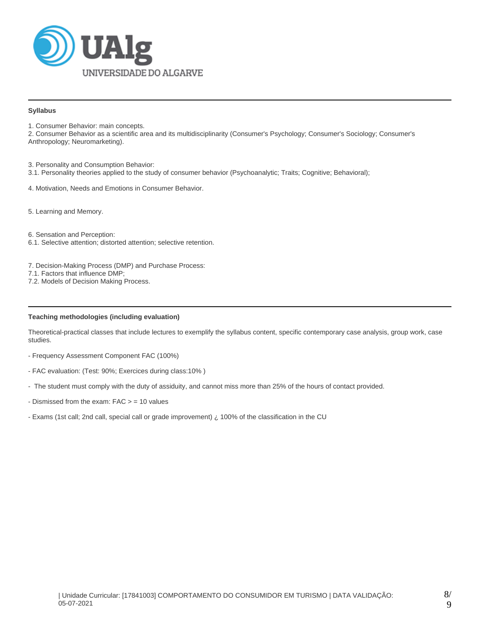

## **Syllabus**

1. Consumer Behavior: main concepts.

2. Consumer Behavior as a scientific area and its multidisciplinarity (Consumer's Psychology; Consumer's Sociology; Consumer's Anthropology; Neuromarketing).

3. Personality and Consumption Behavior:

3.1. Personality theories applied to the study of consumer behavior (Psychoanalytic; Traits; Cognitive; Behavioral);

4. Motivation, Needs and Emotions in Consumer Behavior.

5. Learning and Memory.

6. Sensation and Perception:

6.1. Selective attention; distorted attention; selective retention.

7. Decision-Making Process (DMP) and Purchase Process:

- 7.1. Factors that influence DMP;
- 7.2. Models of Decision Making Process.

## **Teaching methodologies (including evaluation)**

Theoretical-practical classes that include lectures to exemplify the syllabus content, specific contemporary case analysis, group work, case studies.

- Frequency Assessment Component FAC (100%)
- FAC evaluation: (Test: 90%; Exercices during class:10% )
- The student must comply with the duty of assiduity, and cannot miss more than 25% of the hours of contact provided.
- Dismissed from the exam:  $FAC > = 10$  values
- Exams (1st call; 2nd call, special call or grade improvement) ¿ 100% of the classification in the CU